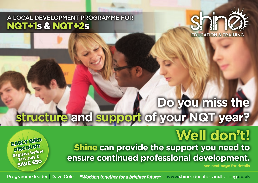### A LOCAL DEVELOPMENT PROGRAMME FOR NQT+1s & NQT+2s



## **Do you miss the structure and support of your NQT year?**

# **Well don't!**

Shine **can provide the support you need to ensure continued professional development.**

**see next page for details**

Register before 31st July & SAVE £50 EARLY BIRD **DISCOUNT** 

**Programme leader | Dave Cole "Working together for a brighter future"** WWW.shineeducationandtraining.co.uk *"Working together for a brighter future"*